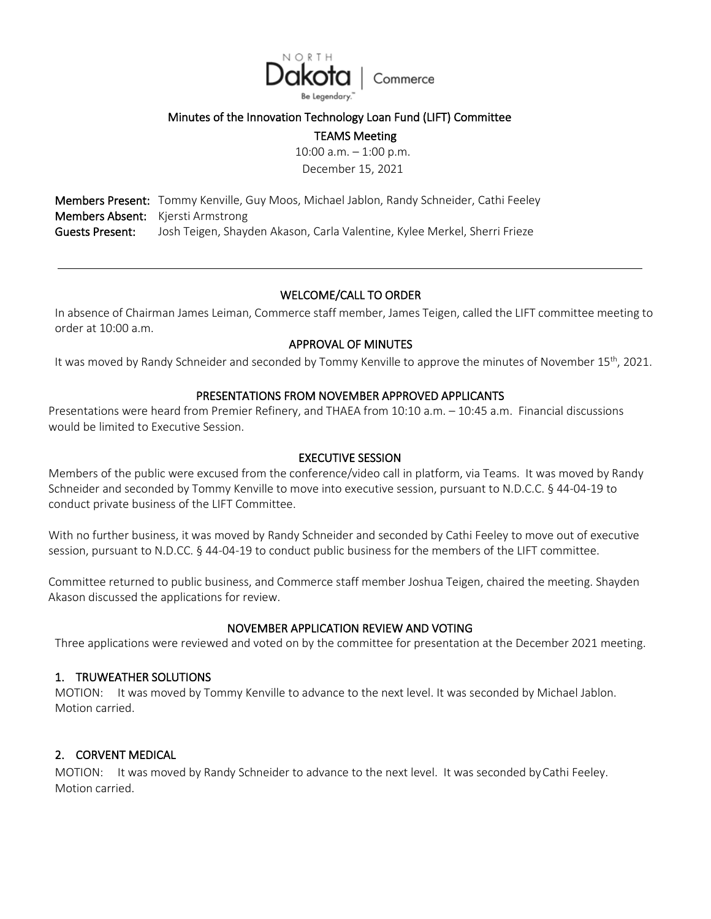

## Minutes of the Innovation Technology Loan Fund (LIFT) Committee

TEAMS Meeting

10:00 a.m. – 1:00 p.m. December 15, 2021

Members Present: Tommy Kenville, Guy Moos, Michael Jablon, Randy Schneider, Cathi Feeley Members Absent: Kjersti Armstrong Guests Present: Josh Teigen, Shayden Akason, Carla Valentine, Kylee Merkel, Sherri Frieze

# WELCOME/CALL TO ORDER

In absence of Chairman James Leiman, Commerce staff member, James Teigen, called the LIFT committee meeting to order at 10:00 a.m.

## APPROVAL OF MINUTES

It was moved by Randy Schneider and seconded by Tommy Kenville to approve the minutes of November 15<sup>th</sup>, 2021.

### PRESENTATIONS FROM NOVEMBER APPROVED APPLICANTS

Presentations were heard from Premier Refinery, and THAEA from 10:10 a.m. – 10:45 a.m. Financial discussions would be limited to Executive Session.

#### EXECUTIVE SESSION

Members of the public were excused from the conference/video call in platform, via Teams. It was moved by Randy Schneider and seconded by Tommy Kenville to move into executive session, pursuant to N.D.C.C. § 44-04-19 to conduct private business of the LIFT Committee.

With no further business, it was moved by Randy Schneider and seconded by Cathi Feeley to move out of executive session, pursuant to N.D.CC. § 44-04-19 to conduct public business for the members of the LIFT committee.

Committee returned to public business, and Commerce staff member Joshua Teigen, chaired the meeting. Shayden Akason discussed the applications for review.

### NOVEMBER APPLICATION REVIEW AND VOTING

Three applications were reviewed and voted on by the committee for presentation at the December 2021 meeting.

### 1. TRUWEATHER SOLUTIONS

MOTION: It was moved by Tommy Kenville to advance to the next level. It was seconded by Michael Jablon. Motion carried.

# 2. CORVENT MEDICAL

MOTION: It was moved by Randy Schneider to advance to the next level. It was seconded byCathi Feeley. Motion carried.